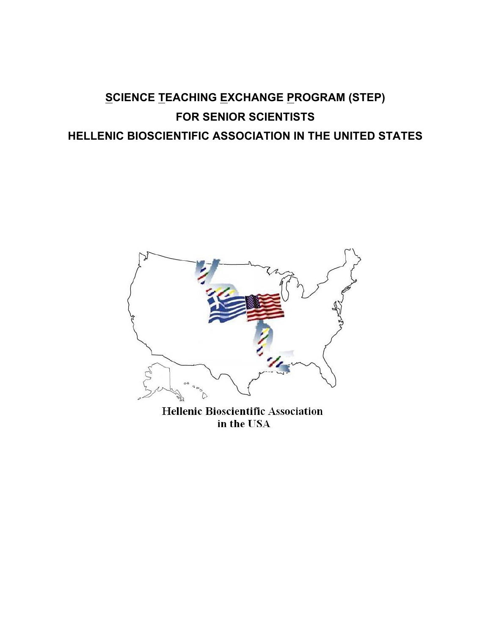# **SCIENCE TEACHING EXCHANGE PROGRAM (STEP) FOR SENIOR SCIENTISTS HELLENIC BIOSCIENTIFIC ASSOCIATION IN THE UNITED STATES**



**Hellenic Bioscientific Association** in the USA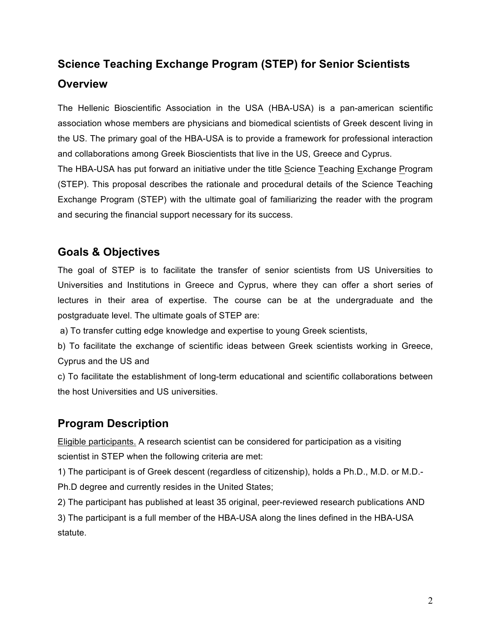## **Science Teaching Exchange Program (STEP) for Senior Scientists Overview**

The Hellenic Bioscientific Association in the USA (HBA-USA) is a pan-american scientific association whose members are physicians and biomedical scientists of Greek descent living in the US. The primary goal of the HBA-USA is to provide a framework for professional interaction and collaborations among Greek Bioscientists that live in the US, Greece and Cyprus.

The HBA-USA has put forward an initiative under the title Science Teaching Exchange Program (STEP). This proposal describes the rationale and procedural details of the Science Teaching Exchange Program (STEP) with the ultimate goal of familiarizing the reader with the program and securing the financial support necessary for its success.

## **Goals & Objectives**

The goal of STEP is to facilitate the transfer of senior scientists from US Universities to Universities and Institutions in Greece and Cyprus, where they can offer a short series of lectures in their area of expertise. The course can be at the undergraduate and the postgraduate level. The ultimate goals of STEP are:

a) To transfer cutting edge knowledge and expertise to young Greek scientists,

b) To facilitate the exchange of scientific ideas between Greek scientists working in Greece, Cyprus and the US and

c) To facilitate the establishment of long-term educational and scientific collaborations between the host Universities and US universities.

## **Program Description**

statute.

Eligible participants. A research scientist can be considered for participation as a visiting scientist in STEP when the following criteria are met:

1) The participant is of Greek descent (regardless of citizenship), holds a Ph.D., M.D. or M.D.- Ph.D degree and currently resides in the United States;

2) The participant has published at least 35 original, peer-reviewed research publications AND 3) The participant is a full member of the HBA-USA along the lines defined in the HBA-USA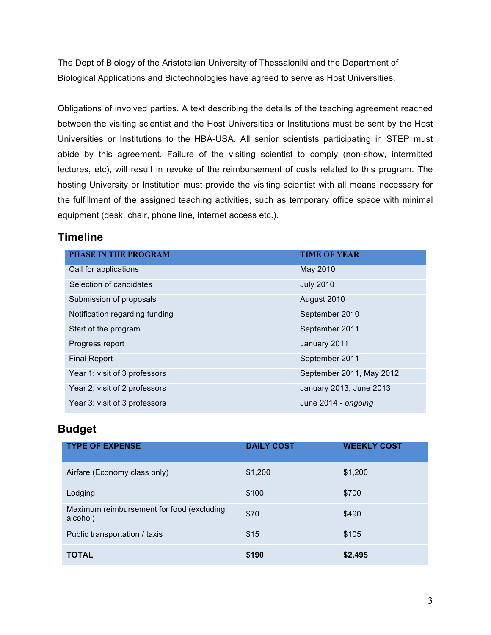The Dept of Biology of the Aristotelian University of Thessaloniki and the Department of Biological Applications and Biotechnologies have agreed to serve as Host Universities.

Obligations of involved parties. A text describing the details of the teaching agreement reached between the visiting scientist and the Host Universities or Institutions must be sent by the Host Universities or Institutions to the HBA-USA. All senior scientists participating in STEP must abide by this agreement. Failure of the visiting scientist to comply (non-show, intermitted lectures, etc), will result in revoke of the reimbursement of costs related to this program. The hosting University or Institution must provide the visiting scientist with all means necessary for the fulfillment of the assigned teaching activities, such as temporary office space with minimal equipment (desk, chair, phone line, internet access etc.).

### **Timeline**

| <b>PHASE IN THE PROGRAM</b>    | <b>TIME OF YEAR</b>      |
|--------------------------------|--------------------------|
| Call for applications          | May 2010                 |
| Selection of candidates        | <b>July 2010</b>         |
| Submission of proposals        | August 2010              |
| Notification regarding funding | September 2010           |
| Start of the program           | September 2011           |
| Progress report                | January 2011             |
| <b>Final Report</b>            | September 2011           |
| Year 1: visit of 3 professors  | September 2011, May 2012 |
| Year 2: visit of 2 professors  | January 2013, June 2013  |
| Year 3: visit of 3 professors  | June 2014 - ongoing      |

## **Budget**

| <b>TYPE OF EXPENSE</b>                                | <b>DAILY COST</b> | <b>WEEKLY COST</b> |
|-------------------------------------------------------|-------------------|--------------------|
| Airfare (Economy class only)                          | \$1,200           | \$1,200            |
| Lodging                                               | \$100             | \$700              |
| Maximum reimbursement for food (excluding<br>alcohol) | \$70              | \$490              |
| Public transportation / taxis                         | \$15              | \$105              |
| <b>TOTAL</b>                                          | \$190             | \$2,495            |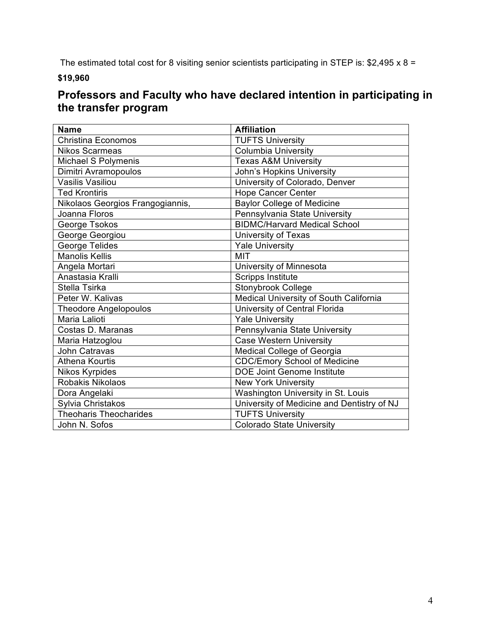The estimated total cost for 8 visiting senior scientists participating in STEP is: \$2,495 x 8 =

**\$19,960**

## **Professors and Faculty who have declared intention in participating in the transfer program**

| <b>Name</b>                      | <b>Affiliation</b>                         |
|----------------------------------|--------------------------------------------|
| <b>Christina Economos</b>        | <b>TUFTS University</b>                    |
| <b>Nikos Scarmeas</b>            | Columbia University                        |
| Michael S Polymenis              | <b>Texas A&amp;M University</b>            |
| Dimitri Avramopoulos             | John's Hopkins University                  |
| Vasilis Vasiliou                 | University of Colorado, Denver             |
| <b>Ted Krontiris</b>             | <b>Hope Cancer Center</b>                  |
| Nikolaos Georgios Frangogiannis, | <b>Baylor College of Medicine</b>          |
| Joanna Floros                    | Pennsylvania State University              |
| George Tsokos                    | <b>BIDMC/Harvard Medical School</b>        |
| George Georgiou                  | University of Texas                        |
| George Telides                   | <b>Yale University</b>                     |
| Manolis Kellis                   | <b>MIT</b>                                 |
| Angela Mortari                   | University of Minnesota                    |
| Anastasia Kralli                 | <b>Scripps Institute</b>                   |
| Stella Tsirka                    | Stonybrook College                         |
| Peter W. Kalivas                 | Medical University of South California     |
| <b>Theodore Angelopoulos</b>     | University of Central Florida              |
| Maria Lalioti                    | <b>Yale University</b>                     |
| Costas D. Maranas                | Pennsylvania State University              |
| Maria Hatzoglou                  | <b>Case Western University</b>             |
| <b>John Catravas</b>             | Medical College of Georgia                 |
| <b>Athena Kourtis</b>            | <b>CDC/Emory School of Medicine</b>        |
| Nikos Kyrpides                   | <b>DOE Joint Genome Institute</b>          |
| Robakis Nikolaos                 | <b>New York University</b>                 |
| Dora Angelaki                    | Washington University in St. Louis         |
| Sylvia Christakos                | University of Medicine and Dentistry of NJ |
| <b>Theoharis Theocharides</b>    | <b>TUFTS University</b>                    |
| John N. Sofos                    | <b>Colorado State University</b>           |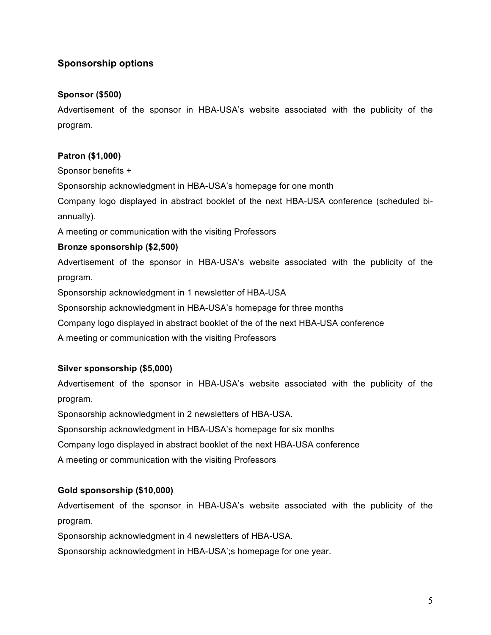### **Sponsorship options**

#### **Sponsor (\$500)**

Advertisement of the sponsor in HBA-USA's website associated with the publicity of the program.

#### **Patron (\$1,000)**

Sponsor benefits +

Sponsorship acknowledgment in HBA-USA's homepage for one month

Company logo displayed in abstract booklet of the next HBA-USA conference (scheduled biannually).

A meeting or communication with the visiting Professors

#### **Bronze sponsorship (\$2,500)**

Advertisement of the sponsor in HBA-USA's website associated with the publicity of the program.

Sponsorship acknowledgment in 1 newsletter of HBA-USA

Sponsorship acknowledgment in HBA-USA's homepage for three months

Company logo displayed in abstract booklet of the of the next HBA-USA conference

A meeting or communication with the visiting Professors

#### **Silver sponsorship (\$5,000)**

Advertisement of the sponsor in HBA-USA's website associated with the publicity of the program.

Sponsorship acknowledgment in 2 newsletters of HBA-USA.

Sponsorship acknowledgment in HBA-USA's homepage for six months

Company logo displayed in abstract booklet of the next HBA-USA conference

A meeting or communication with the visiting Professors

#### **Gold sponsorship (\$10,000)**

Advertisement of the sponsor in HBA-USA's website associated with the publicity of the program.

Sponsorship acknowledgment in 4 newsletters of HBA-USA.

Sponsorship acknowledgment in HBA-USA';s homepage for one year.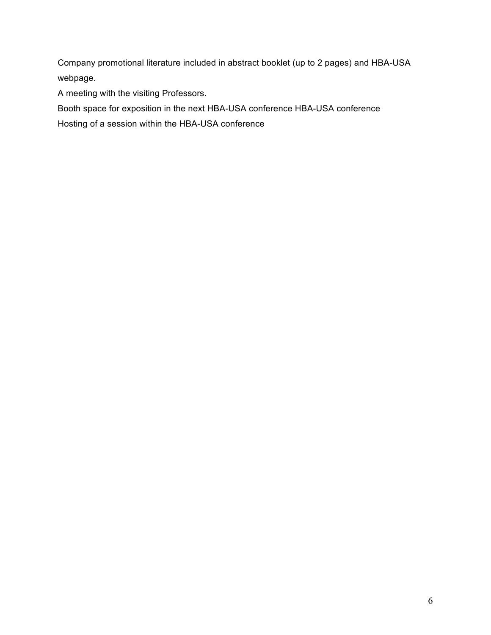Company promotional literature included in abstract booklet (up to 2 pages) and HBA-USA webpage.

A meeting with the visiting Professors.

Booth space for exposition in the next HBA-USA conference HBA-USA conference

Hosting of a session within the HBA-USA conference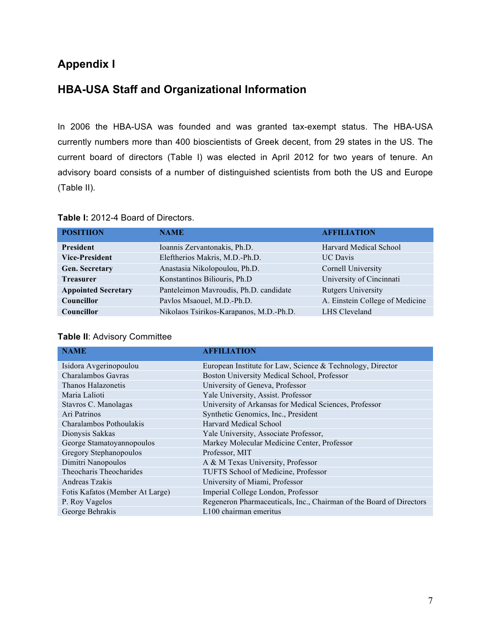## **Appendix I**

### **HBA-USA Staff and Organizational Information**

In 2006 the HBA-USA was founded and was granted tax-exempt status. The HBA-USA currently numbers more than 400 bioscientists of Greek decent, from 29 states in the US. The current board of directors (Table I) was elected in April 2012 for two years of tenure. An advisory board consists of a number of distinguished scientists from both the US and Europe (Table II).

#### **Table I:** 2012-4 Board of Directors.

| <b>POSITIION</b>           | <b>NAME</b>                             | <b>AFFILIATION</b>              |
|----------------------------|-----------------------------------------|---------------------------------|
| <b>President</b>           | Ioannis Zervantonakis, Ph.D.            | <b>Harvard Medical School</b>   |
| <b>Vice-President</b>      | Eleftherios Makris, M.D.-Ph.D.          | <b>UC</b> Davis                 |
| <b>Gen. Secretary</b>      | Anastasia Nikolopoulou, Ph.D.           | Cornell University              |
| <b>Treasurer</b>           | Konstantinos Biliouris, Ph.D            | University of Cincinnati        |
| <b>Appointed Secretary</b> | Panteleimon Mavroudis, Ph.D. candidate  | <b>Rutgers University</b>       |
| Councillor                 | Pavlos Msaouel, M.D.-Ph.D.              | A. Einstein College of Medicine |
| Councillor                 | Nikolaos Tsirikos-Karapanos, M.D.-Ph.D. | LHS Cleveland                   |

|  |  |  | Table II: Advisory Committee |
|--|--|--|------------------------------|
|--|--|--|------------------------------|

| <b>NAME</b>                     | <b>AFFILIATION</b>                                                  |
|---------------------------------|---------------------------------------------------------------------|
| Isidora Avgerinopoulou          | European Institute for Law, Science & Technology, Director          |
| Charalambos Gavras              | Boston University Medical School, Professor                         |
| Thanos Halazonetis              | University of Geneva, Professor                                     |
| Maria Lalioti                   | Yale University, Assist. Professor                                  |
| Stavros C. Manolagas            | University of Arkansas for Medical Sciences, Professor              |
| Ari Patrinos                    | Synthetic Genomics, Inc., President                                 |
| Charalambos Pothoulakis         | <b>Harvard Medical School</b>                                       |
| Dionysis Sakkas                 | Yale University, Associate Professor,                               |
| George Stamatoyannopoulos       | Markey Molecular Medicine Center, Professor                         |
| Gregory Stephanopoulos          | Professor, MIT                                                      |
| Dimitri Nanopoulos              | A & M Texas University, Professor                                   |
| Theocharis Theocharides         | TUFTS School of Medicine, Professor                                 |
| Andreas Tzakis                  | University of Miami, Professor                                      |
| Fotis Kafatos (Member At Large) | Imperial College London, Professor                                  |
| P. Roy Vagelos                  | Regeneron Pharmaceuticals, Inc., Chairman of the Board of Directors |
| George Behrakis                 | L100 chairman emeritus                                              |